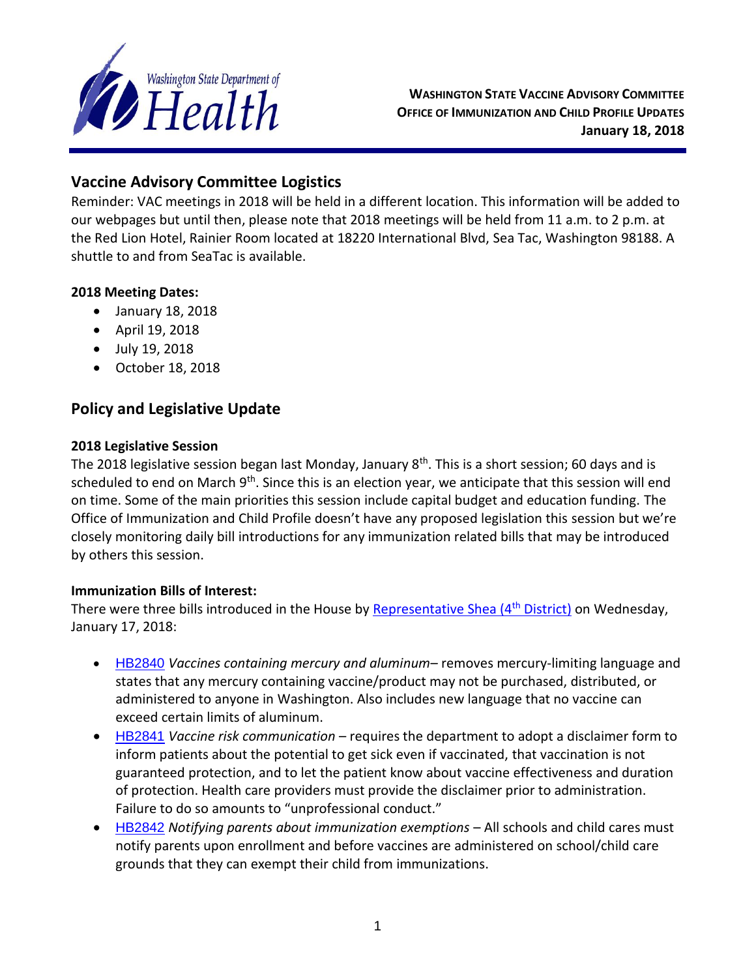

**WASHINGTON STATE VACCINE ADVISORY COMMITTEE OFFICE OF IMMUNIZATION AND CHILD PROFILE UPDATES January 18, 2018**

# **Vaccine Advisory Committee Logistics**

Reminder: VAC meetings in 2018 will be held in a different location. This information will be added to our webpages but until then, please note that 2018 meetings will be held from 11 a.m. to 2 p.m. at the Red Lion Hotel, Rainier Room located at 18220 International Blvd, Sea Tac, Washington 98188. A shuttle to and from SeaTac is available.

## **2018 Meeting Dates:**

- January 18, 2018
- April 19, 2018
- July 19, 2018
- October 18, 2018

# **Policy and Legislative Update**

### **2018 Legislative Session**

The 2018 legislative session began last Monday, January 8<sup>th</sup>. This is a short session; 60 days and is scheduled to end on March 9<sup>th</sup>. Since this is an election year, we anticipate that this session will end on time. Some of the main priorities this session include capital budget and education funding. The Office of Immunization and Child Profile doesn't have any proposed legislation this session but we're closely monitoring daily bill introductions for any immunization related bills that may be introduced by others this session.

## **Immunization Bills of Interest:**

There were three bills introduced in the House by [Representative Shea \(4](http://mattshea.houserepublicans.wa.gov/)<sup>th</sup> District) on Wednesday, January 17, 2018:

- [HB2840](http://lawfilesext.leg.wa.gov/biennium/2017-18/Pdf/Bills/House%20Bills/2840.pdf) *Vaccines containing mercury and aluminum* removes mercury-limiting language and states that any mercury containing vaccine/product may not be purchased, distributed, or administered to anyone in Washington. Also includes new language that no vaccine can exceed certain limits of aluminum.
- [HB2841](http://lawfilesext.leg.wa.gov/biennium/2017-18/Pdf/Bills/House%20Bills/2840.pdf) *Vaccine risk communication* requires the department to adopt a disclaimer form to inform patients about the potential to get sick even if vaccinated, that vaccination is not guaranteed protection, and to let the patient know about vaccine effectiveness and duration of protection. Health care providers must provide the disclaimer prior to administration. Failure to do so amounts to "unprofessional conduct."
- [HB2842](http://lawfilesext.leg.wa.gov/biennium/2017-18/Pdf/Bills/House%20Bills/2842.pdf) *Notifying parents about immunization exemptions* All schools and child cares must notify parents upon enrollment and before vaccines are administered on school/child care grounds that they can exempt their child from immunizations.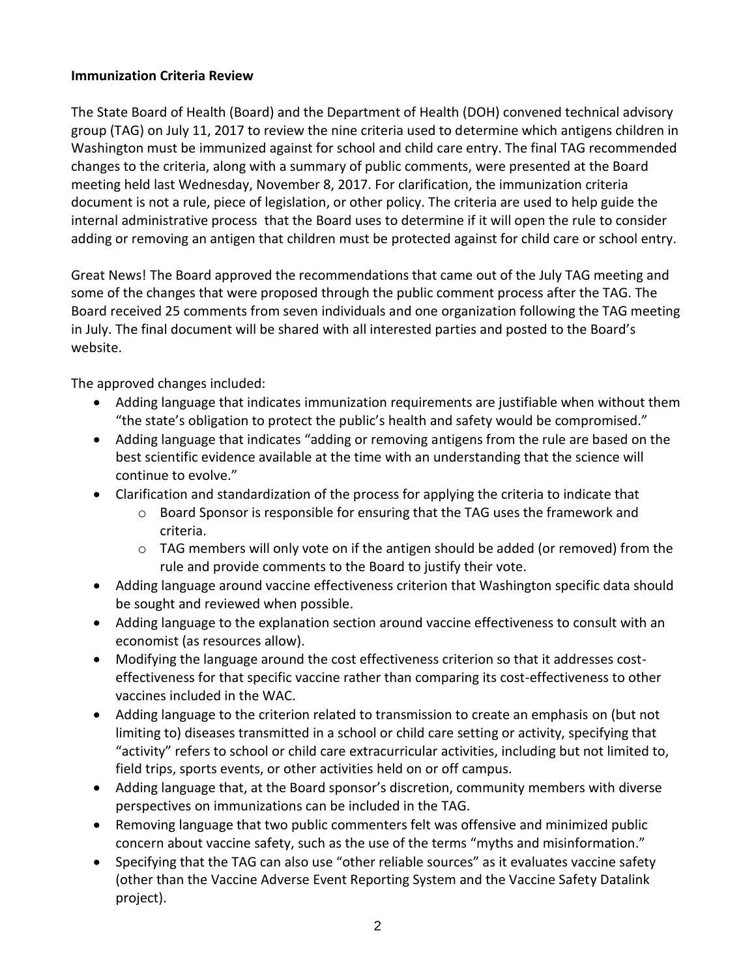### **Immunization Criteria Review**

The State Board of Health (Board) and the Department of Health (DOH) convened technical advisory group (TAG) on July 11, 2017 to review the nine criteria used to determine which antigens children in Washington must be immunized against for school and child care entry. The final TAG recommended changes to the criteria, along with a summary of public comments, were presented at the Board meeting held last Wednesday, November 8, 2017. For clarification, the immunization criteria document is not a rule, piece of legislation, or other policy. The criteria are used to help guide the internal administrative process that the Board uses to determine if it will open the rule to consider adding or removing an antigen that children must be protected against for child care or school entry.

Great News! The Board approved the recommendations that came out of the July TAG meeting and some of the changes that were proposed through the public comment process after the TAG. The Board received 25 comments from seven individuals and one organization following the TAG meeting in July. The final document will be shared with all interested parties and posted to the Board's website.

The approved changes included:

- Adding language that indicates immunization requirements are justifiable when without them "the state's obligation to protect the public's health and safety would be compromised."
- Adding language that indicates "adding or removing antigens from the rule are based on the best scientific evidence available at the time with an understanding that the science will continue to evolve."
- Clarification and standardization of the process for applying the criteria to indicate that
	- o Board Sponsor is responsible for ensuring that the TAG uses the framework and criteria.
	- o TAG members will only vote on if the antigen should be added (or removed) from the rule and provide comments to the Board to justify their vote.
- Adding language around vaccine effectiveness criterion that Washington specific data should be sought and reviewed when possible.
- Adding language to the explanation section around vaccine effectiveness to consult with an economist (as resources allow).
- Modifying the language around the cost effectiveness criterion so that it addresses costeffectiveness for that specific vaccine rather than comparing its cost-effectiveness to other vaccines included in the WAC.
- Adding language to the criterion related to transmission to create an emphasis on (but not limiting to) diseases transmitted in a school or child care setting or activity, specifying that "activity" refers to school or child care extracurricular activities, including but not limited to, field trips, sports events, or other activities held on or off campus.
- Adding language that, at the Board sponsor's discretion, community members with diverse perspectives on immunizations can be included in the TAG.
- Removing language that two public commenters felt was offensive and minimized public concern about vaccine safety, such as the use of the terms "myths and misinformation."
- Specifying that the TAG can also use "other reliable sources" as it evaluates vaccine safety (other than the Vaccine Adverse Event Reporting System and the Vaccine Safety Datalink project).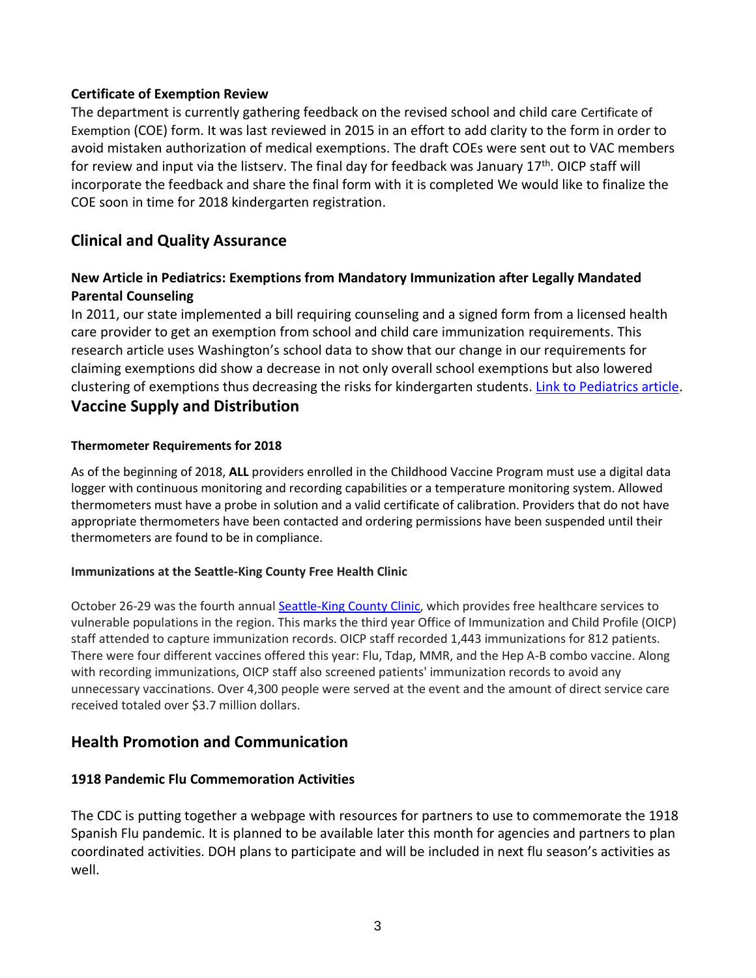### **Certificate of Exemption Review**

The department is currently gathering feedback on the revised school and child care [Certificate of](https://www.doh.wa.gov/Portals/1/Documents/Pubs/348-106_CertificateofExemption.pdf)  [Exemption](https://www.doh.wa.gov/Portals/1/Documents/Pubs/348-106_CertificateofExemption.pdf) (COE) form. It was last reviewed in 2015 in an effort to add clarity to the form in order to avoid mistaken authorization of medical exemptions. The draft COEs were sent out to VAC members for review and input via the listserv. The final day for feedback was January  $17<sup>th</sup>$ . OICP staff will incorporate the feedback and share the final form with it is completed We would like to finalize the COE soon in time for 2018 kindergarten registration.

## **Clinical and Quality Assurance**

## **New Article in Pediatrics: Exemptions from Mandatory Immunization after Legally Mandated Parental Counseling**

In 2011, our state implemented a bill requiring counseling and a signed form from a licensed health care provider to get an exemption from school and child care immunization requirements. This research article uses Washington's school data to show that our change in our requirements for claiming exemptions did show a decrease in not only overall school exemptions but also lowered clustering of exemptions thus decreasing the risks for kindergarten students. [Link to Pediatrics article.](http://pediatrics.aappublications.org/content/early/2017/12/15/peds.2017-2364) **Vaccine Supply and Distribution**

#### **Thermometer Requirements for 2018**

As of the beginning of 2018, **ALL** providers enrolled in the Childhood Vaccine Program must use a digital data logger with continuous monitoring and recording capabilities or a temperature monitoring system. Allowed thermometers must have a probe in solution and a valid certificate of calibration. Providers that do not have appropriate thermometers have been contacted and ordering permissions have been suspended until their thermometers are found to be in compliance.

#### **Immunizations at the Seattle-King County Free Health Clinic**

October 26-29 was the fourth annua[l Seattle-King County Clinic,](http://seattlecenter.org/skcclinic/) which provides free healthcare services to vulnerable populations in the region. This marks the third year Office of Immunization and Child Profile (OICP) staff attended to capture immunization records. OICP staff recorded 1,443 immunizations for 812 patients. There were four different vaccines offered this year: Flu, Tdap, MMR, and the Hep A-B combo vaccine. Along with recording immunizations, OICP staff also screened patients' immunization records to avoid any unnecessary vaccinations. Over 4,300 people were served at the event and the amount of direct service care received totaled over \$3.7 million dollars.

## **Health Promotion and Communication**

#### **1918 Pandemic Flu Commemoration Activities**

The CDC is putting together a webpage with resources for partners to use to commemorate the 1918 Spanish Flu pandemic. It is planned to be available later this month for agencies and partners to plan coordinated activities. DOH plans to participate and will be included in next flu season's activities as well.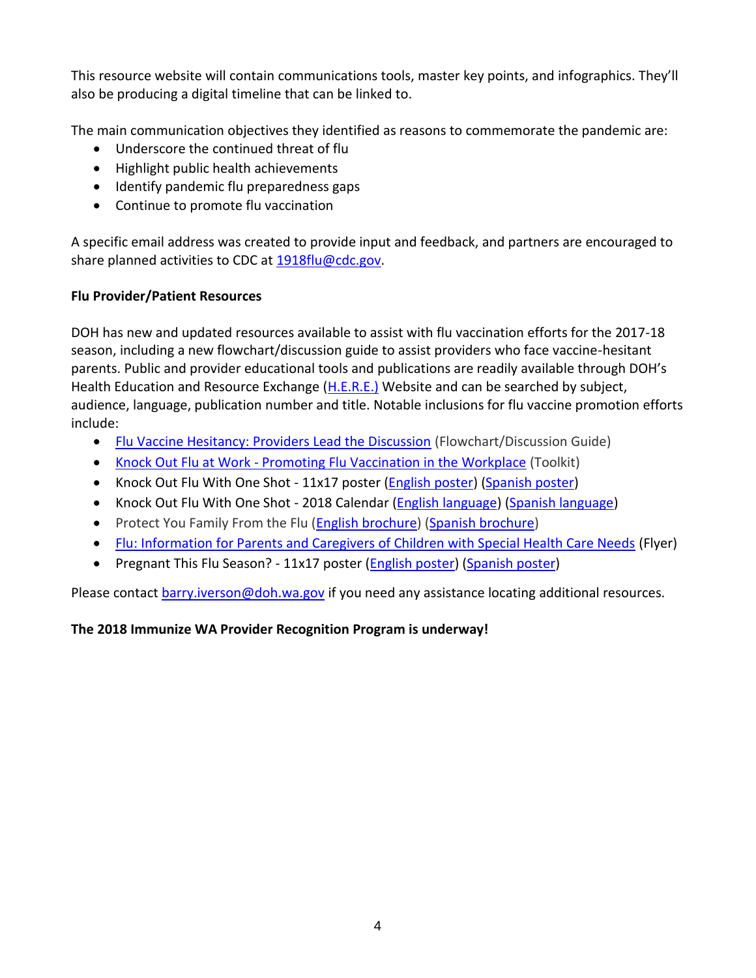This resource website will contain communications tools, master key points, and infographics. They'll also be producing a digital timeline that can be linked to.

The main communication objectives they identified as reasons to commemorate the pandemic are:

- Underscore the continued threat of flu
- Highlight public health achievements
- Identify pandemic flu preparedness gaps
- Continue to promote flu vaccination

A specific email address was created to provide input and feedback, and partners are encouraged to share planned activities to CDC at [1918flu@cdc.gov.](mailto:1918flu@cdc.gov)

## **Flu Provider/Patient Resources**

DOH has new and updated resources available to assist with flu vaccination efforts for the 2017-18 season, including a new flowchart/discussion guide to assist providers who face vaccine-hesitant parents. Public and provider educational tools and publications are readily available through DOH's Health Education and Resource Exchange [\(H.E.R.E.\)](https://here.doh.wa.gov/) Website and can be searched by subject, audience, language, publication number and title. Notable inclusions for flu vaccine promotion efforts include:

- [Flu Vaccine Hesitancy: Providers Lead the Discussion](https://here.doh.wa.gov/Materials/Details/udt_31191_param_id/20791) (Flowchart/Discussion Guide)
- Knock Out Flu at Work [Promoting Flu Vaccination in the Workplace](https://here.doh.wa.gov/Materials/Details/udt_31191_param_id/20789) (Toolkit)
- Knock Out Flu With One Shot 11x17 poster [\(English poster\)](https://here.doh.wa.gov/Portals/14/Materials/348-584-KnockOutFluPos-en-L.pdf) [\(Spanish poster\)](https://here.doh.wa.gov/Portals/14/Materials/348-584-KnockOutFluPos-es-L.pdf)
- Knock Out Flu With One Shot 2018 Calendar [\(English language\)](https://here.doh.wa.gov/Portals/14/Materials/348-583-KnockOutFluCal-en-L.pdf) [\(Spanish language\)](https://here.doh.wa.gov/Portals/14/Materials/348-583-KnockOutFluCal-es-L.pdf)
- Protect You Family From the Flu [\(English brochure\)](https://here.doh.wa.gov/Portals/14/Materials/348-093-FluBro-en-L.pdf) [\(Spanish brochure\)](https://here.doh.wa.gov/Portals/14/Materials/348-093-FluBro-es-L.pdf)
- [Flu: Information for Parents and Caregivers of Children with Special Health Care Needs](https://here.doh.wa.gov/Portals/14/Materials/970-137-FluSpecial-en-L.pdf) (Flyer)
- Pregnant This Flu Season? 11x17 poster (*English poster*) [\(Spanish poster\)](https://here.doh.wa.gov/Portals/14/Materials/348-101-PregFlu-es-L.pdf)

Please contact [barry.iverson@doh.wa.gov](mailto:barry.iverson@doh.wa.gov) if you need any assistance locating additional resources.

## **The 2018 Immunize WA Provider Recognition Program is underway!**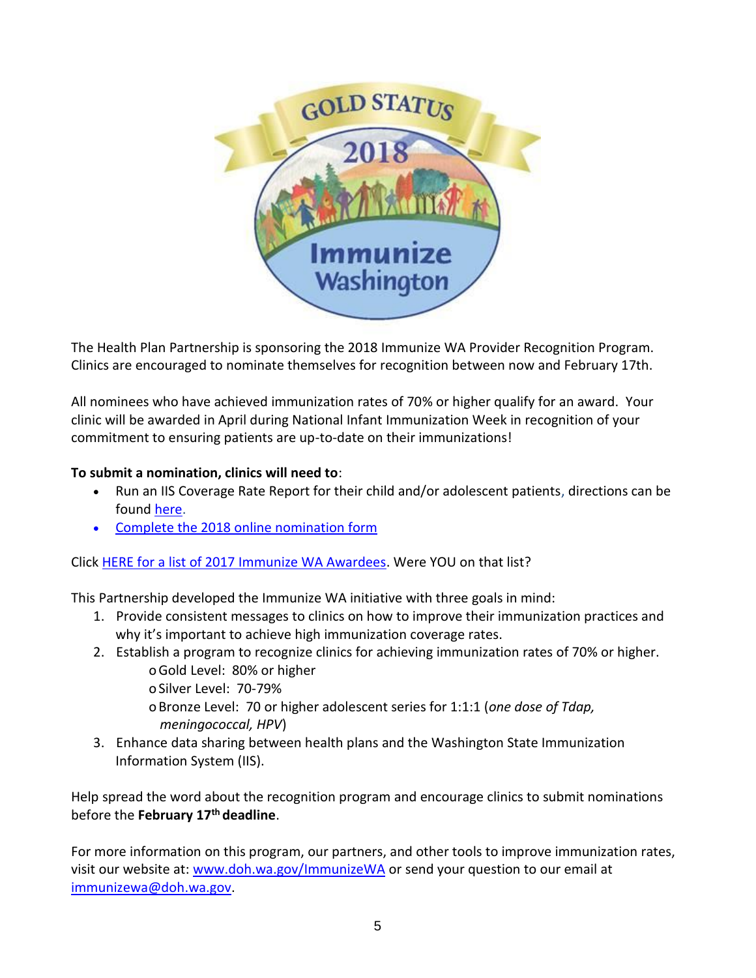

The Health Plan Partnership is sponsoring the 2018 Immunize WA Provider Recognition Program. Clinics are encouraged to nominate themselves for recognition between now and February 17th.

All nominees who have achieved immunization rates of 70% or higher qualify for an award. Your clinic will be awarded in April during National Infant Immunization Week in recognition of your commitment to ensuring patients are up-to-date on their immunizations!

## **To submit a nomination, clinics will need to**:

- Run an IIS Coverage Rate Report for their child and/or adolescent patients, directions can be found [here.](http://www.doh.wa.gov/Portals/1/Documents/Pubs/348-445-ImmunizationFlyerUpdated.pdf)
- [Complete the 2018 online nomination form](https://www.surveymonkey.com/r/ImmunizeWA2018)

Click [HERE for a list of 2017 Immunize WA Awardees.](https://www.doh.wa.gov/Portals/1/Documents/Pubs/348-507-ImmunizeWA-ProviderRecognitionProgramAwardeeList2017.pdf) Were YOU on that list?

This Partnership developed the Immunize WA initiative with three goals in mind:

- 1. Provide consistent messages to clinics on how to improve their immunization practices and why it's important to achieve high immunization coverage rates.
- 2. Establish a program to recognize clinics for achieving immunization rates of 70% or higher. oGold Level: 80% or higher

o Silver Level: 70-79%

- oBronze Level: 70 or higher adolescent series for 1:1:1 (*one dose of Tdap, meningococcal, HPV*)
- 3. Enhance data sharing between health plans and the Washington State Immunization Information System (IIS).

Help spread the word about the recognition program and encourage clinics to submit nominations before the **February 17th deadline**.

For more information on this program, our partners, and other tools to improve immunization rates, visit our website at: [www.doh.wa.gov/ImmunizeWA](http://www.doh.wa.gov/ImmunizeWA) or send your question to our email at [immunizewa@doh.wa.gov.](mailto:immunizewa@doh.wa.gov)